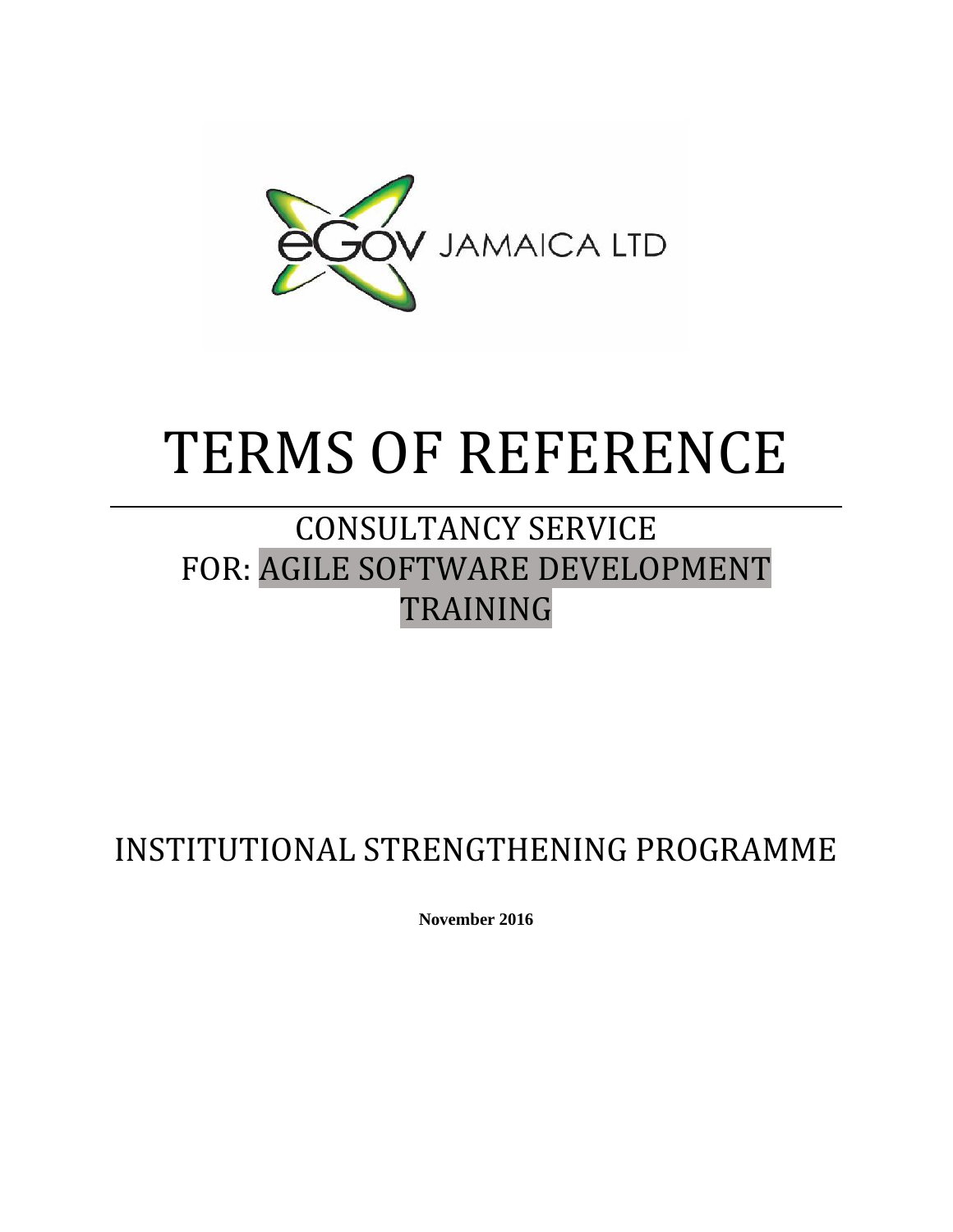

# TERMS OF REFERENCE

# CONSULTANCY SERVICE FOR: AGILE SOFTWARE DEVELOPMENT TRAINING

# INSTITUTIONAL STRENGTHENING PROGRAMME

**November 2016**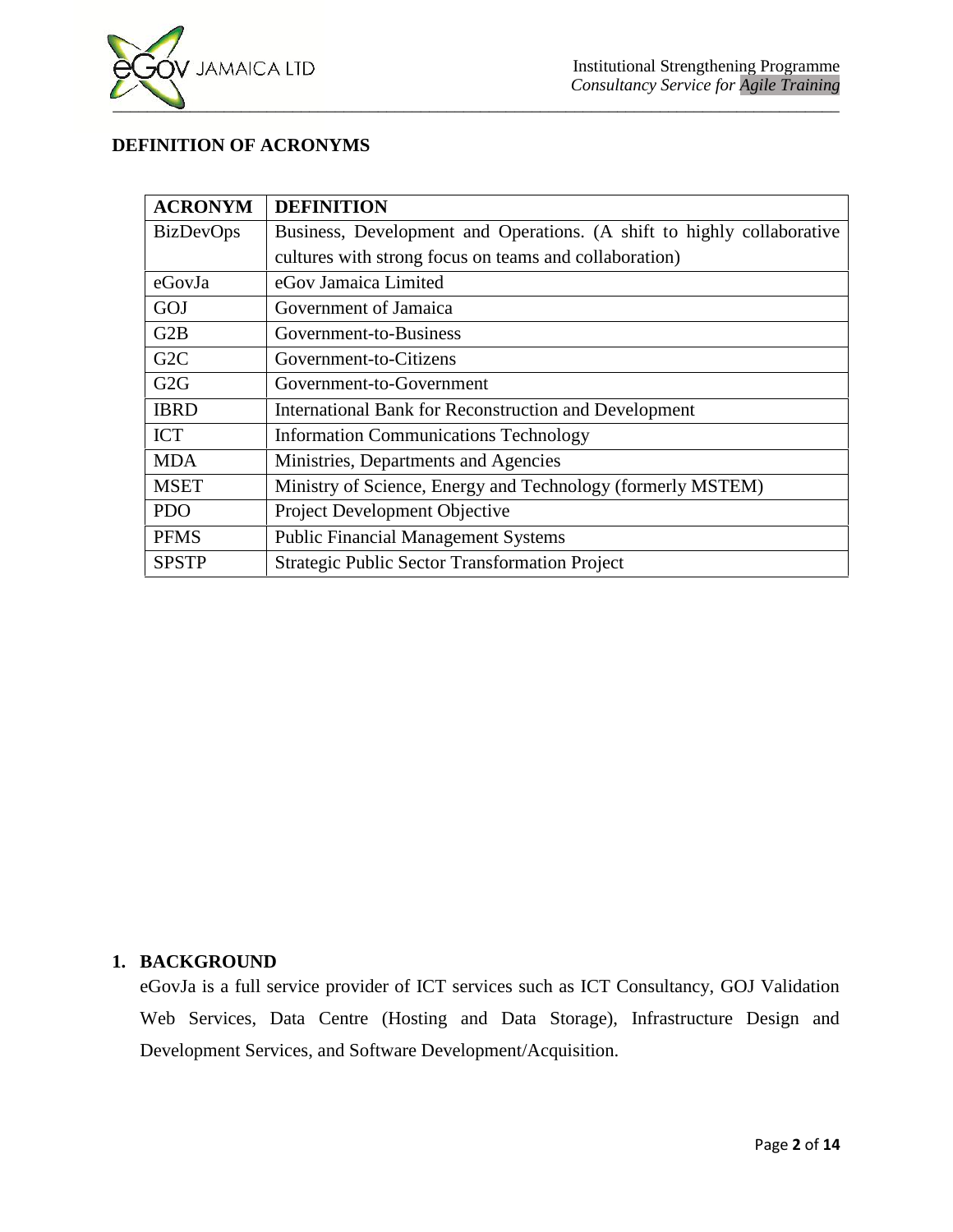

# **DEFINITION OF ACRONYMS**

| <b>ACRONYM</b>   | <b>DEFINITION</b>                                                      |
|------------------|------------------------------------------------------------------------|
| <b>BizDevOps</b> | Business, Development and Operations. (A shift to highly collaborative |
|                  | cultures with strong focus on teams and collaboration)                 |
| eGovJa           | eGov Jamaica Limited                                                   |
| GOJ              | Government of Jamaica                                                  |
| G2B              | Government-to-Business                                                 |
| G <sub>2</sub> C | Government-to-Citizens                                                 |
| G2G              | Government-to-Government                                               |
| <b>IBRD</b>      | International Bank for Reconstruction and Development                  |
| <b>ICT</b>       | <b>Information Communications Technology</b>                           |
| <b>MDA</b>       | Ministries, Departments and Agencies                                   |
| <b>MSET</b>      | Ministry of Science, Energy and Technology (formerly MSTEM)            |
| <b>PDO</b>       | Project Development Objective                                          |
| <b>PFMS</b>      | <b>Public Financial Management Systems</b>                             |
| <b>SPSTP</b>     | Strategic Public Sector Transformation Project                         |

# **1. BACKGROUND**

eGovJa is a full service provider of ICT services such as ICT Consultancy, GOJ Validation Web Services, Data Centre (Hosting and Data Storage), Infrastructure Design and Development Services, and Software Development/Acquisition.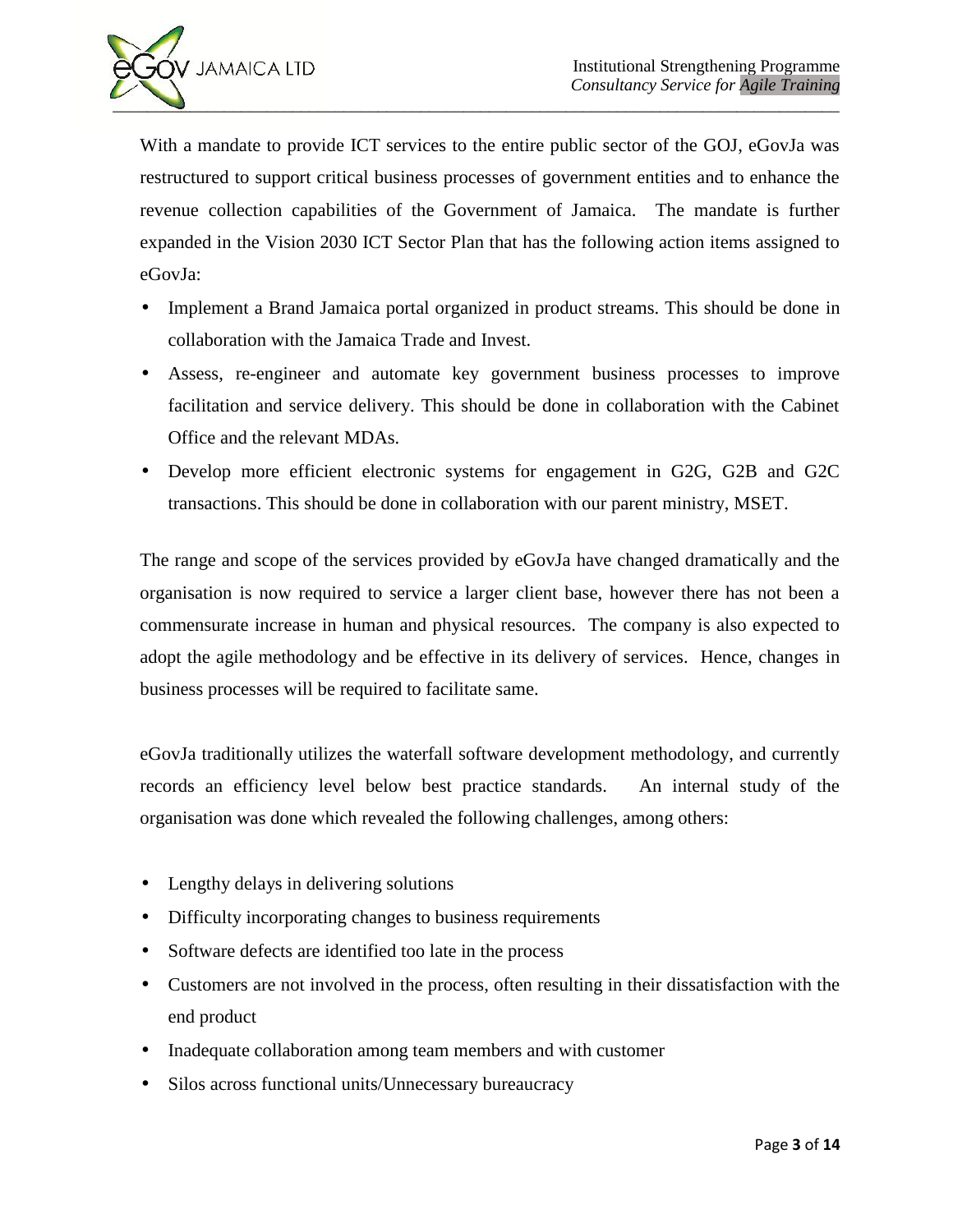

With a mandate to provide ICT services to the entire public sector of the GOJ, eGovJa was restructured to support critical business processes of government entities and to enhance the revenue collection capabilities of the Government of Jamaica. The mandate is further expanded in the Vision 2030 ICT Sector Plan that has the following action items assigned to eGovJa:

- Implement a Brand Jamaica portal organized in product streams. This should be done in collaboration with the Jamaica Trade and Invest.
- Assess, re-engineer and automate key government business processes to improve facilitation and service delivery. This should be done in collaboration with the Cabinet Office and the relevant MDAs.
- Develop more efficient electronic systems for engagement in G2G, G2B and G2C transactions. This should be done in collaboration with our parent ministry, MSET.

The range and scope of the services provided by eGovJa have changed dramatically and the organisation is now required to service a larger client base, however there has not been a commensurate increase in human and physical resources. The company is also expected to adopt the agile methodology and be effective in its delivery of services. Hence, changes in business processes will be required to facilitate same.

eGovJa traditionally utilizes the waterfall software development methodology, and currently records an efficiency level below best practice standards. An internal study of the organisation was done which revealed the following challenges, among others:

- Lengthy delays in delivering solutions
- Difficulty incorporating changes to business requirements
- Software defects are identified too late in the process
- Customers are not involved in the process, often resulting in their dissatisfaction with the end product
- Inadequate collaboration among team members and with customer
- Silos across functional units/Unnecessary bureaucracy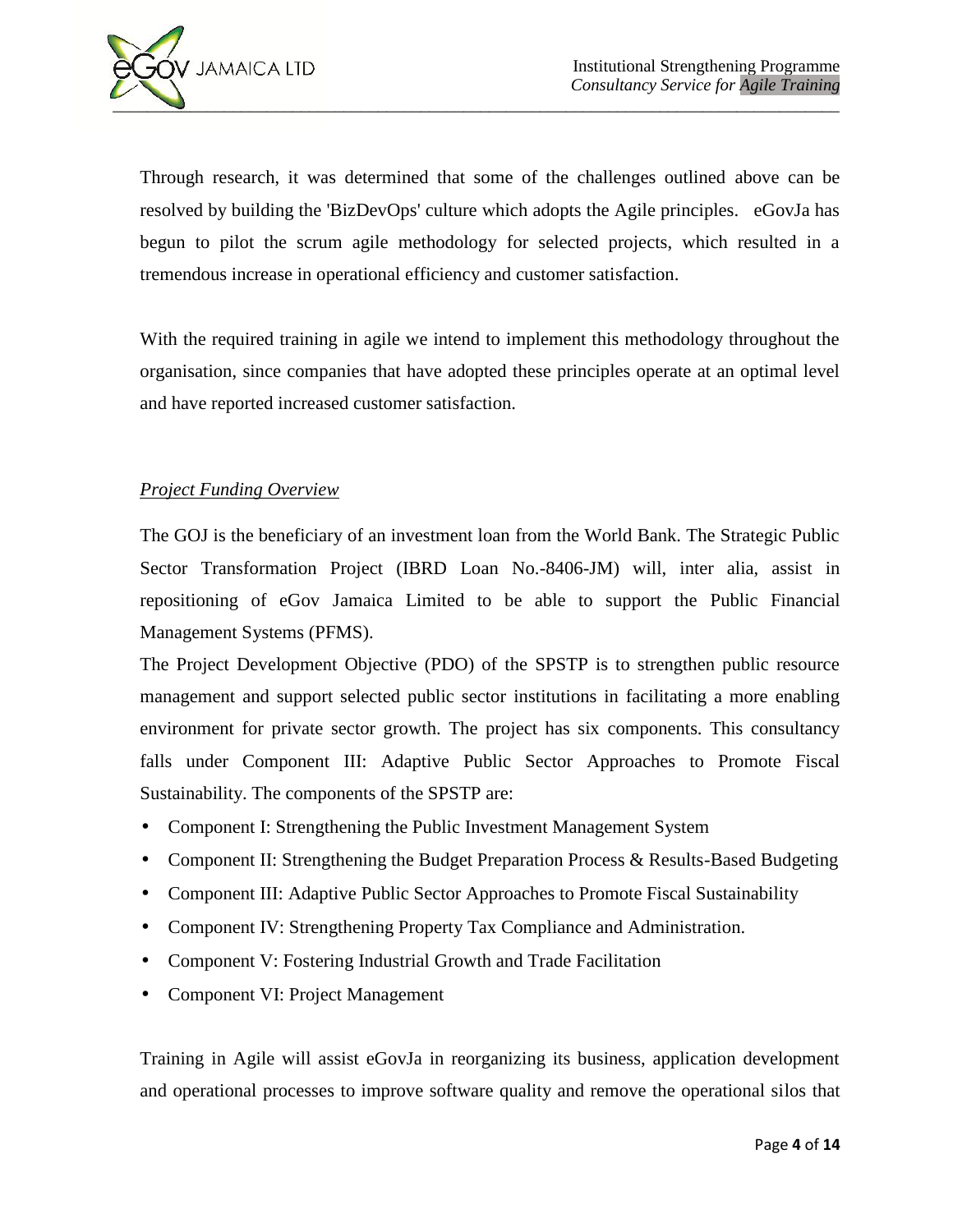

Through research, it was determined that some of the challenges outlined above can be resolved by building the 'BizDevOps' culture which adopts the Agile principles. eGovJa has begun to pilot the scrum agile methodology for selected projects, which resulted in a tremendous increase in operational efficiency and customer satisfaction.

With the required training in agile we intend to implement this methodology throughout the organisation, since companies that have adopted these principles operate at an optimal level and have reported increased customer satisfaction.

# *Project Funding Overview*

The GOJ is the beneficiary of an investment loan from the World Bank. The Strategic Public Sector Transformation Project (IBRD Loan No.-8406-JM) will, inter alia, assist in repositioning of eGov Jamaica Limited to be able to support the Public Financial Management Systems (PFMS).

The Project Development Objective (PDO) of the SPSTP is to strengthen public resource management and support selected public sector institutions in facilitating a more enabling environment for private sector growth. The project has six components. This consultancy falls under Component III: Adaptive Public Sector Approaches to Promote Fiscal Sustainability. The components of the SPSTP are:

- Component I: Strengthening the Public Investment Management System
- Component II: Strengthening the Budget Preparation Process & Results-Based Budgeting
- Component III: Adaptive Public Sector Approaches to Promote Fiscal Sustainability
- Component IV: Strengthening Property Tax Compliance and Administration.
- Component V: Fostering Industrial Growth and Trade Facilitation
- Component VI: Project Management

Training in Agile will assist eGovJa in reorganizing its business, application development and operational processes to improve software quality and remove the operational silos that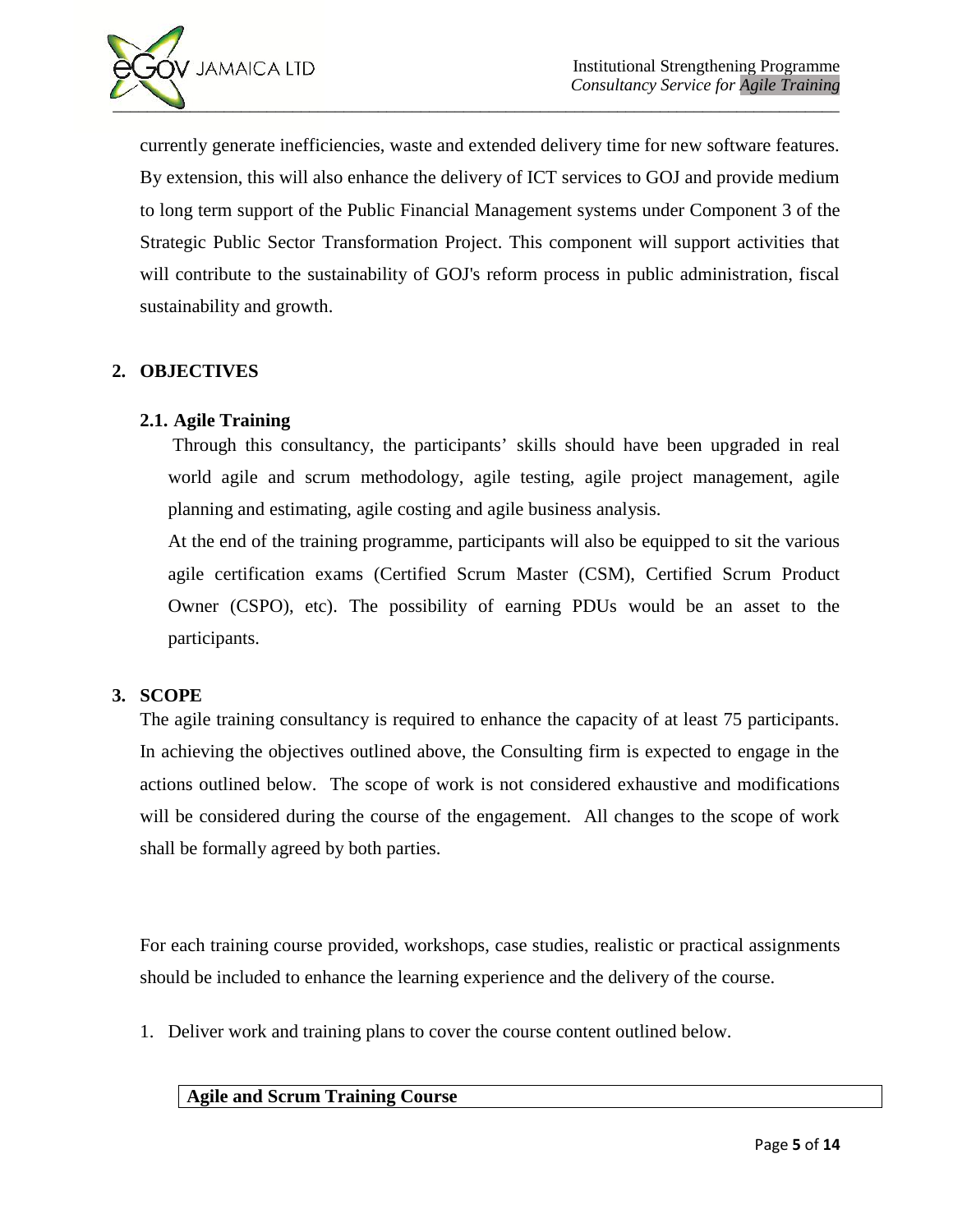

currently generate inefficiencies, waste and extended delivery time for new software features. By extension, this will also enhance the delivery of ICT services to GOJ and provide medium to long term support of the Public Financial Management systems under Component 3 of the Strategic Public Sector Transformation Project. This component will support activities that will contribute to the sustainability of GOJ's reform process in public administration, fiscal sustainability and growth.

# **2. OBJECTIVES**

# **2.1. Agile Training**

Through this consultancy, the participants' skills should have been upgraded in real world agile and scrum methodology, agile testing, agile project management, agile planning and estimating, agile costing and agile business analysis.

At the end of the training programme, participants will also be equipped to sit the various agile certification exams (Certified Scrum Master (CSM), Certified Scrum Product Owner (CSPO), etc). The possibility of earning PDUs would be an asset to the participants.

#### **3. SCOPE**

The agile training consultancy is required to enhance the capacity of at least 75 participants. In achieving the objectives outlined above, the Consulting firm is expected to engage in the actions outlined below. The scope of work is not considered exhaustive and modifications will be considered during the course of the engagement. All changes to the scope of work shall be formally agreed by both parties.

For each training course provided, workshops, case studies, realistic or practical assignments should be included to enhance the learning experience and the delivery of the course.

1. Deliver work and training plans to cover the course content outlined below.

# **Agile and Scrum Training Course**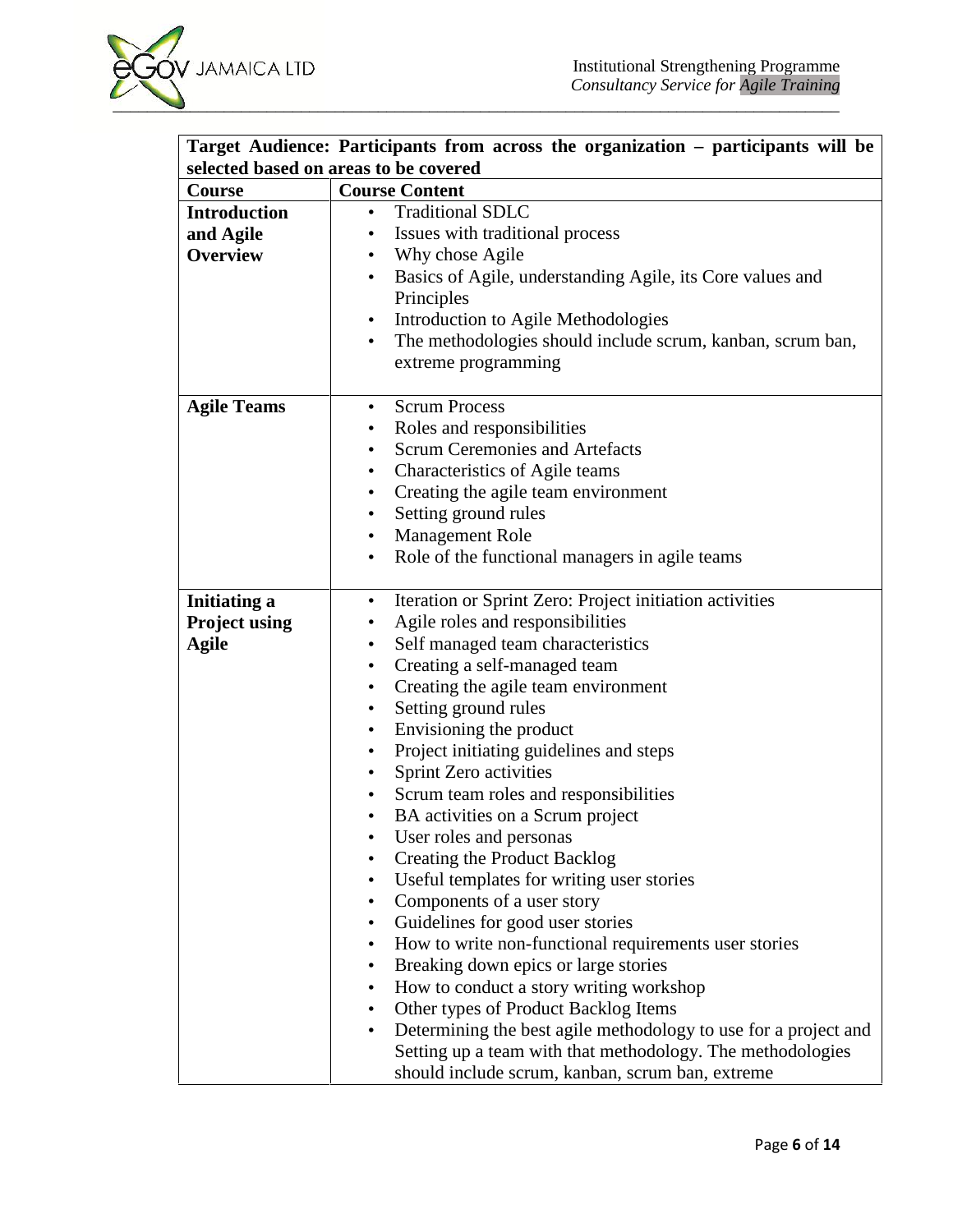

| Course               | selected based on areas to be covered<br><b>Course Content</b>          |
|----------------------|-------------------------------------------------------------------------|
| <b>Introduction</b>  | <b>Traditional SDLC</b>                                                 |
|                      | $\bullet$                                                               |
| and Agile            | Issues with traditional process<br>$\bullet$                            |
| <b>Overview</b>      | Why chose Agile<br>$\bullet$                                            |
|                      | Basics of Agile, understanding Agile, its Core values and<br>$\bullet$  |
|                      | Principles                                                              |
|                      | Introduction to Agile Methodologies<br>$\bullet$                        |
|                      | The methodologies should include scrum, kanban, scrum ban,<br>$\bullet$ |
|                      | extreme programming                                                     |
| <b>Agile Teams</b>   | <b>Scrum Process</b><br>$\bullet$                                       |
|                      | Roles and responsibilities<br>٠                                         |
|                      | <b>Scrum Ceremonies and Artefacts</b><br>$\bullet$                      |
|                      | Characteristics of Agile teams<br>$\bullet$                             |
|                      | Creating the agile team environment<br>$\bullet$                        |
|                      | Setting ground rules<br>$\bullet$                                       |
|                      | <b>Management Role</b><br>$\bullet$                                     |
|                      | Role of the functional managers in agile teams<br>$\bullet$             |
|                      |                                                                         |
| <b>Initiating a</b>  | Iteration or Sprint Zero: Project initiation activities<br>$\bullet$    |
| <b>Project using</b> | Agile roles and responsibilities<br>$\bullet$                           |
| <b>Agile</b>         | Self managed team characteristics<br>$\bullet$                          |
|                      | Creating a self-managed team<br>$\bullet$                               |
|                      | Creating the agile team environment<br>$\bullet$                        |
|                      | Setting ground rules<br>$\bullet$                                       |
|                      | Envisioning the product<br>$\bullet$                                    |
|                      | Project initiating guidelines and steps<br>$\bullet$                    |
|                      | Sprint Zero activities<br>$\bullet$                                     |
|                      | Scrum team roles and responsibilities<br>$\bullet$                      |
|                      | BA activities on a Scrum project<br>$\bullet$                           |
|                      | User roles and personas<br>$\bullet$                                    |
|                      | <b>Creating the Product Backlog</b>                                     |
|                      | Useful templates for writing user stories                               |
|                      | Components of a user story<br>$\bullet$                                 |
|                      | Guidelines for good user stories                                        |
|                      | $\bullet$                                                               |
|                      | How to write non-functional requirements user stories<br>$\bullet$      |
|                      | Breaking down epics or large stories<br>$\bullet$                       |
|                      | How to conduct a story writing workshop<br>$\bullet$                    |
|                      | Other types of Product Backlog Items<br>$\bullet$                       |
|                      | Determining the best agile methodology to use for a project and         |
|                      | Setting up a team with that methodology. The methodologies              |
|                      | should include scrum, kanban, scrum ban, extreme                        |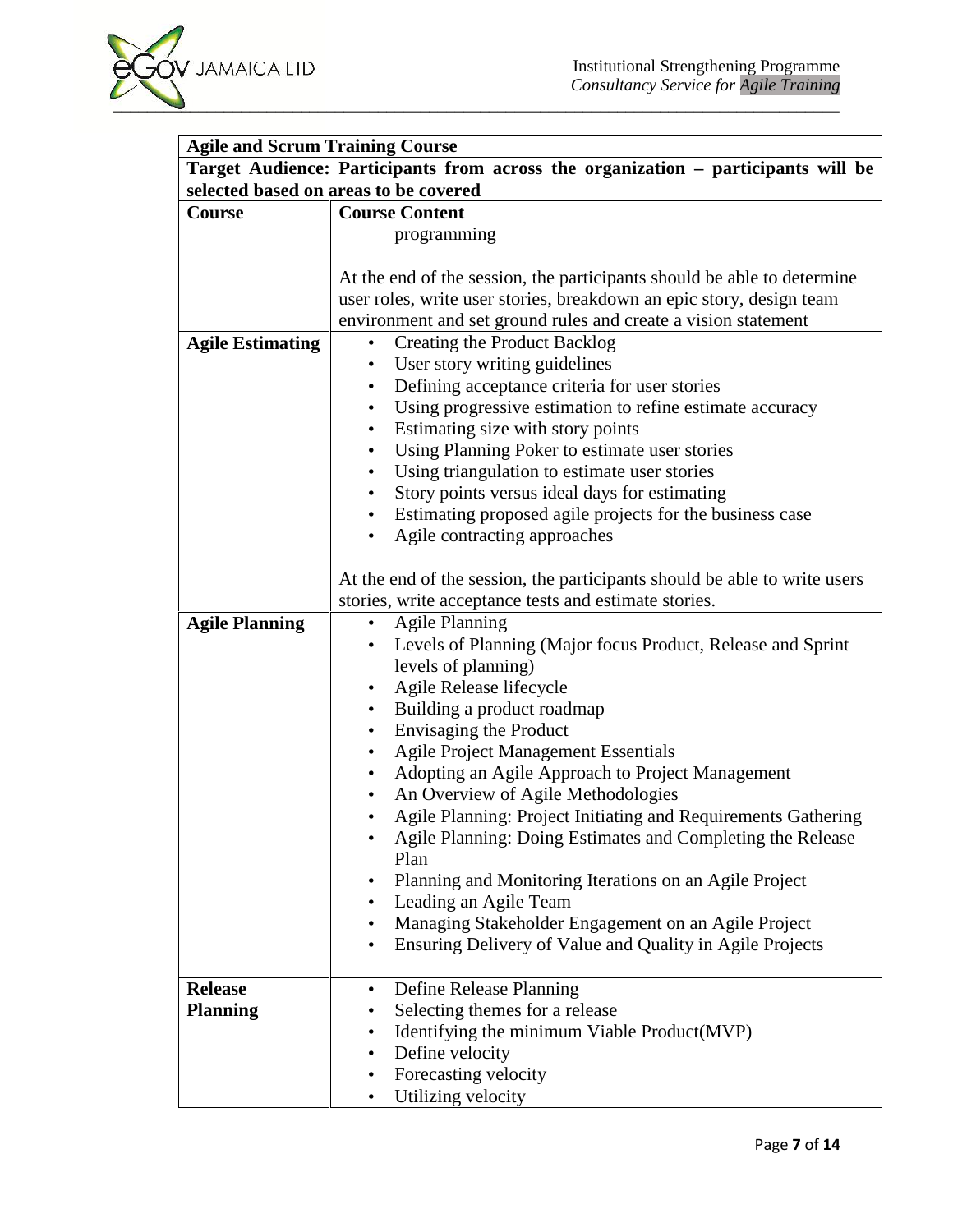| <b>Agile and Scrum Training Course</b>                                                                                     |                                                                                                                                                                                                                                                                                                                                                                                                                                                                                                                                                                                                                                                                                                                                                                    |
|----------------------------------------------------------------------------------------------------------------------------|--------------------------------------------------------------------------------------------------------------------------------------------------------------------------------------------------------------------------------------------------------------------------------------------------------------------------------------------------------------------------------------------------------------------------------------------------------------------------------------------------------------------------------------------------------------------------------------------------------------------------------------------------------------------------------------------------------------------------------------------------------------------|
| Target Audience: Participants from across the organization - participants will be<br>selected based on areas to be covered |                                                                                                                                                                                                                                                                                                                                                                                                                                                                                                                                                                                                                                                                                                                                                                    |
|                                                                                                                            |                                                                                                                                                                                                                                                                                                                                                                                                                                                                                                                                                                                                                                                                                                                                                                    |
|                                                                                                                            | programming<br>At the end of the session, the participants should be able to determine<br>user roles, write user stories, breakdown an epic story, design team                                                                                                                                                                                                                                                                                                                                                                                                                                                                                                                                                                                                     |
|                                                                                                                            | environment and set ground rules and create a vision statement                                                                                                                                                                                                                                                                                                                                                                                                                                                                                                                                                                                                                                                                                                     |
| <b>Agile Estimating</b>                                                                                                    | <b>Creating the Product Backlog</b><br>$\bullet$<br>User story writing guidelines<br>$\bullet$<br>Defining acceptance criteria for user stories<br>$\bullet$<br>Using progressive estimation to refine estimate accuracy<br>Estimating size with story points<br>٠<br>Using Planning Poker to estimate user stories<br>$\bullet$<br>Using triangulation to estimate user stories<br>$\bullet$<br>Story points versus ideal days for estimating<br>$\bullet$<br>Estimating proposed agile projects for the business case<br>$\bullet$                                                                                                                                                                                                                               |
| <b>Agile Planning</b>                                                                                                      | Agile contracting approaches<br>At the end of the session, the participants should be able to write users<br>stories, write acceptance tests and estimate stories.<br><b>Agile Planning</b><br>$\bullet$                                                                                                                                                                                                                                                                                                                                                                                                                                                                                                                                                           |
|                                                                                                                            | Levels of Planning (Major focus Product, Release and Sprint<br>$\bullet$<br>levels of planning)<br>Agile Release lifecycle<br>Building a product roadmap<br>$\bullet$<br>Envisaging the Product<br>$\bullet$<br><b>Agile Project Management Essentials</b><br>$\bullet$<br>Adopting an Agile Approach to Project Management<br>$\bullet$<br>An Overview of Agile Methodologies<br>$\bullet$<br>Agile Planning: Project Initiating and Requirements Gathering<br>Agile Planning: Doing Estimates and Completing the Release<br>Plan<br>Planning and Monitoring Iterations on an Agile Project<br>Leading an Agile Team<br>Managing Stakeholder Engagement on an Agile Project<br>$\bullet$<br>Ensuring Delivery of Value and Quality in Agile Projects<br>$\bullet$ |
| <b>Release</b><br><b>Planning</b>                                                                                          | Define Release Planning<br>$\bullet$<br>Selecting themes for a release<br>$\bullet$<br>Identifying the minimum Viable Product(MVP)<br>$\bullet$<br>Define velocity<br>$\bullet$<br>Forecasting velocity<br>$\bullet$<br>Utilizing velocity                                                                                                                                                                                                                                                                                                                                                                                                                                                                                                                         |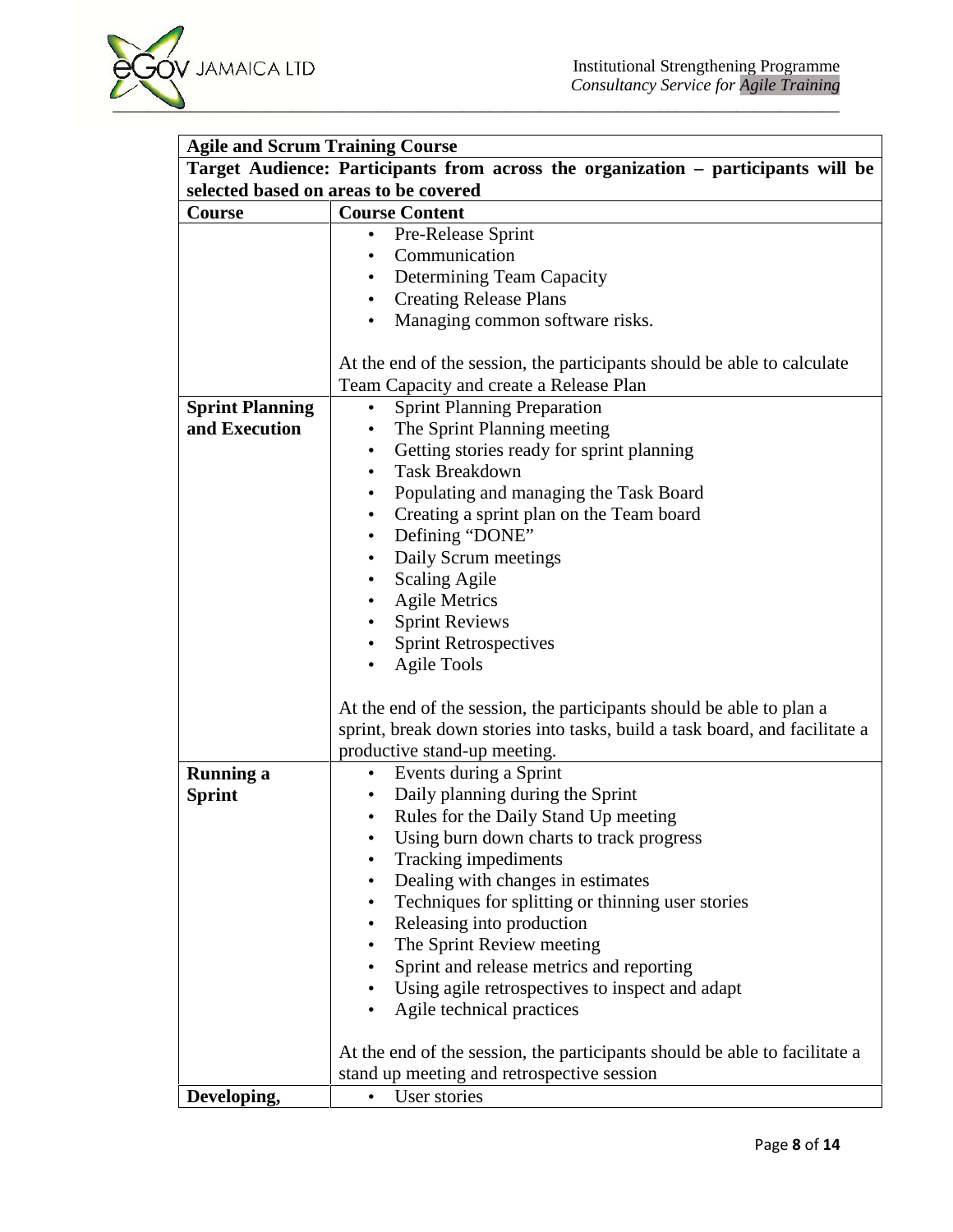| selected based on areas to be covered |                                                                                                                    |  |
|---------------------------------------|--------------------------------------------------------------------------------------------------------------------|--|
| Course                                | <b>Course Content</b>                                                                                              |  |
|                                       | Pre-Release Sprint<br>$\bullet$                                                                                    |  |
|                                       | Communication                                                                                                      |  |
|                                       | Determining Team Capacity                                                                                          |  |
|                                       | <b>Creating Release Plans</b>                                                                                      |  |
|                                       | Managing common software risks.                                                                                    |  |
|                                       | At the end of the session, the participants should be able to calculate<br>Team Capacity and create a Release Plan |  |
| <b>Sprint Planning</b>                | <b>Sprint Planning Preparation</b><br>$\bullet$                                                                    |  |
| and Execution                         | The Sprint Planning meeting                                                                                        |  |
|                                       | Getting stories ready for sprint planning<br>$\bullet$                                                             |  |
|                                       | <b>Task Breakdown</b><br>$\bullet$                                                                                 |  |
|                                       | Populating and managing the Task Board                                                                             |  |
|                                       | Creating a sprint plan on the Team board                                                                           |  |
|                                       | Defining "DONE"                                                                                                    |  |
|                                       | Daily Scrum meetings                                                                                               |  |
|                                       | <b>Scaling Agile</b>                                                                                               |  |
|                                       | <b>Agile Metrics</b>                                                                                               |  |
|                                       | <b>Sprint Reviews</b>                                                                                              |  |
|                                       | <b>Sprint Retrospectives</b>                                                                                       |  |
|                                       | <b>Agile Tools</b>                                                                                                 |  |
|                                       | At the end of the session, the participants should be able to plan a                                               |  |
|                                       | sprint, break down stories into tasks, build a task board, and facilitate a                                        |  |
|                                       | productive stand-up meeting.                                                                                       |  |
| <b>Running a</b>                      | Events during a Sprint<br>$\bullet$                                                                                |  |
| <b>Sprint</b>                         | Daily planning during the Sprint                                                                                   |  |
|                                       | Rules for the Daily Stand Up meeting                                                                               |  |
|                                       | Using burn down charts to track progress                                                                           |  |
|                                       | Tracking impediments                                                                                               |  |
|                                       | Dealing with changes in estimates                                                                                  |  |
|                                       | Techniques for splitting or thinning user stories                                                                  |  |
|                                       | Releasing into production                                                                                          |  |
|                                       | The Sprint Review meeting                                                                                          |  |
|                                       | Sprint and release metrics and reporting                                                                           |  |
|                                       | Using agile retrospectives to inspect and adapt                                                                    |  |
|                                       | Agile technical practices                                                                                          |  |
|                                       |                                                                                                                    |  |
|                                       | At the end of the session, the participants should be able to facilitate a                                         |  |
|                                       | stand up meeting and retrospective session                                                                         |  |
| Developing,                           | User stories                                                                                                       |  |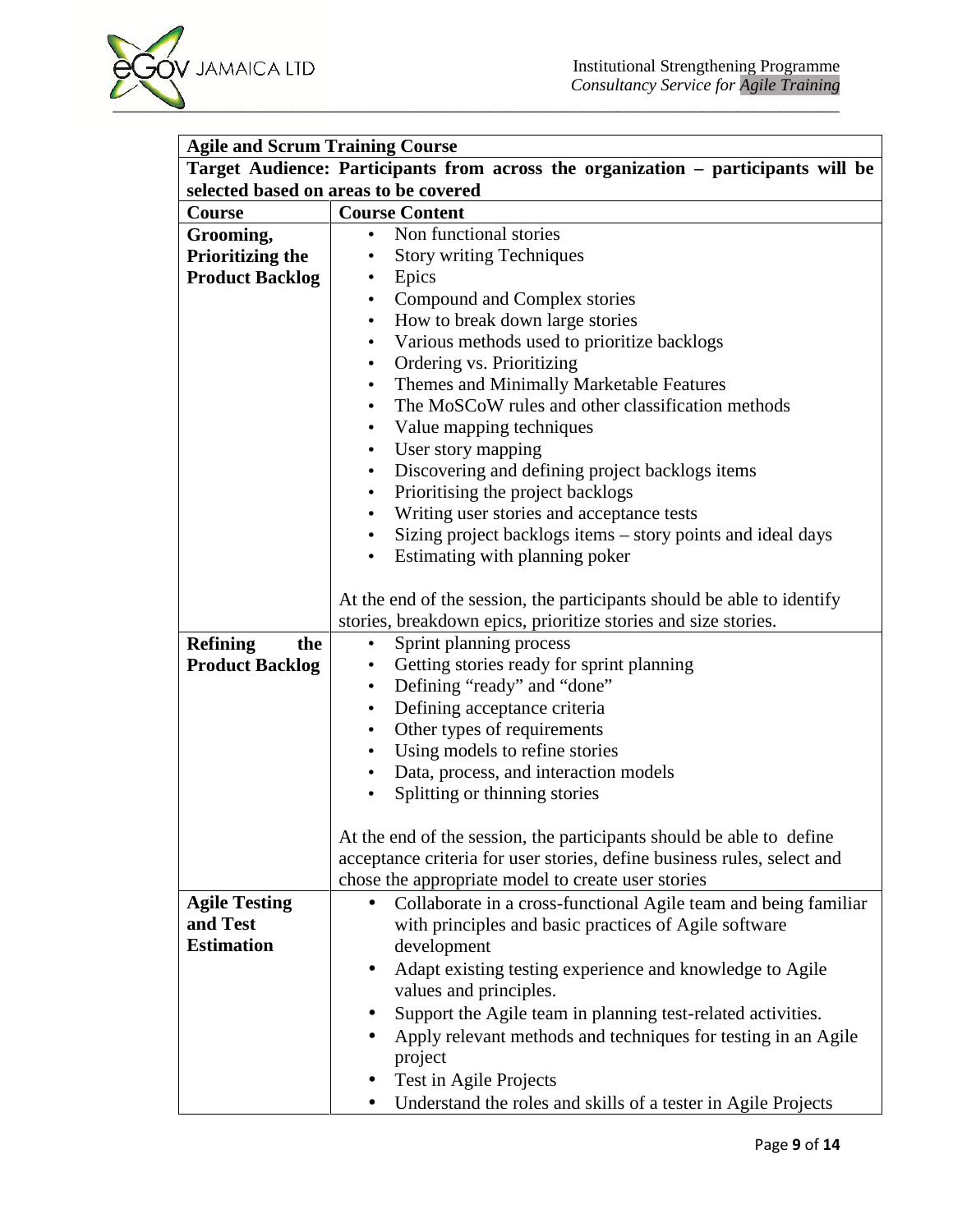

| Target Audience: Participants from across the organization - participants will be<br>selected based on areas to be covered |                                                                                    |  |
|----------------------------------------------------------------------------------------------------------------------------|------------------------------------------------------------------------------------|--|
| <b>Course Content</b><br>Course                                                                                            |                                                                                    |  |
| Grooming,                                                                                                                  | Non functional stories<br>$\bullet$                                                |  |
| <b>Prioritizing the</b>                                                                                                    | <b>Story writing Techniques</b><br>$\bullet$                                       |  |
| <b>Product Backlog</b>                                                                                                     | Epics<br>$\bullet$                                                                 |  |
|                                                                                                                            | Compound and Complex stories<br>$\bullet$                                          |  |
|                                                                                                                            | How to break down large stories<br>$\bullet$                                       |  |
|                                                                                                                            | Various methods used to prioritize backlogs                                        |  |
|                                                                                                                            | Ordering vs. Prioritizing<br>$\bullet$                                             |  |
|                                                                                                                            | Themes and Minimally Marketable Features<br>$\bullet$                              |  |
|                                                                                                                            | The MoSCoW rules and other classification methods<br>$\bullet$                     |  |
|                                                                                                                            | Value mapping techniques<br>$\bullet$                                              |  |
|                                                                                                                            | User story mapping<br>$\bullet$                                                    |  |
|                                                                                                                            | Discovering and defining project backlogs items<br>$\bullet$                       |  |
|                                                                                                                            | Prioritising the project backlogs<br>$\bullet$                                     |  |
|                                                                                                                            | Writing user stories and acceptance tests<br>$\bullet$                             |  |
|                                                                                                                            | Sizing project backlogs items – story points and ideal days                        |  |
|                                                                                                                            | Estimating with planning poker                                                     |  |
|                                                                                                                            |                                                                                    |  |
| At the end of the session, the participants should be able to identify                                                     |                                                                                    |  |
|                                                                                                                            | stories, breakdown epics, prioritize stories and size stories.                     |  |
| <b>Refining</b><br>the                                                                                                     | Sprint planning process<br>$\bullet$                                               |  |
| <b>Product Backlog</b>                                                                                                     | Getting stories ready for sprint planning<br>$\bullet$                             |  |
|                                                                                                                            | Defining "ready" and "done"<br>$\bullet$                                           |  |
|                                                                                                                            | Defining acceptance criteria                                                       |  |
|                                                                                                                            | Other types of requirements                                                        |  |
|                                                                                                                            | Using models to refine stories                                                     |  |
|                                                                                                                            | Data, process, and interaction models                                              |  |
|                                                                                                                            | Splitting or thinning stories                                                      |  |
|                                                                                                                            |                                                                                    |  |
|                                                                                                                            | At the end of the session, the participants should be able to define               |  |
|                                                                                                                            | acceptance criteria for user stories, define business rules, select and            |  |
|                                                                                                                            | chose the appropriate model to create user stories                                 |  |
| <b>Agile Testing</b>                                                                                                       | Collaborate in a cross-functional Agile team and being familiar<br>$\bullet$       |  |
| and Test                                                                                                                   | with principles and basic practices of Agile software                              |  |
| <b>Estimation</b>                                                                                                          | development                                                                        |  |
|                                                                                                                            | Adapt existing testing experience and knowledge to Agile<br>values and principles. |  |
|                                                                                                                            | Support the Agile team in planning test-related activities.                        |  |
|                                                                                                                            | Apply relevant methods and techniques for testing in an Agile                      |  |
|                                                                                                                            | project                                                                            |  |
|                                                                                                                            | Test in Agile Projects                                                             |  |
|                                                                                                                            | Understand the roles and skills of a tester in Agile Projects                      |  |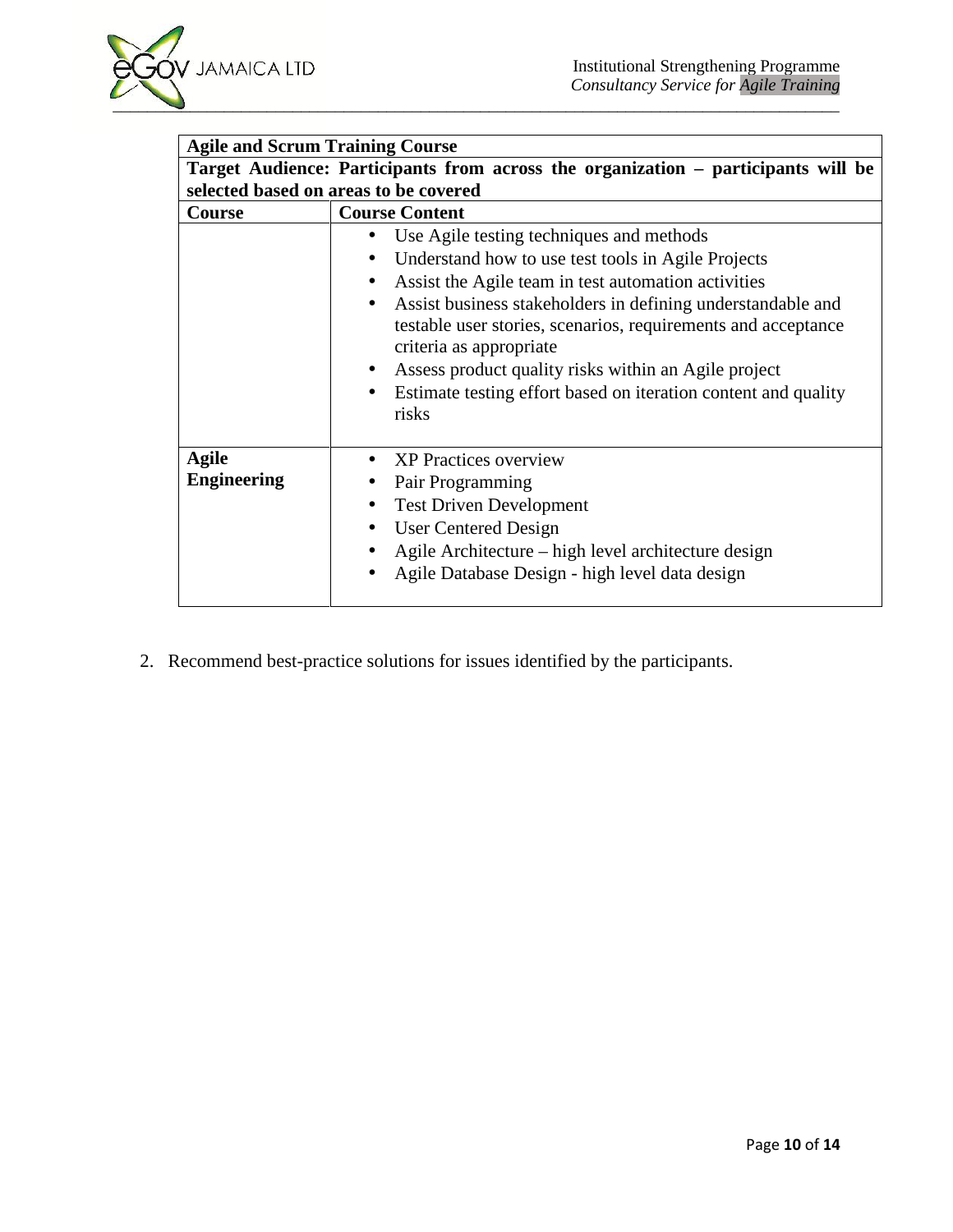| <b>Agile and Scrum Training Course</b>                                                                                     |                                                                                                                                                                                                                                                                                                                                                                                                                                                                                            |  |
|----------------------------------------------------------------------------------------------------------------------------|--------------------------------------------------------------------------------------------------------------------------------------------------------------------------------------------------------------------------------------------------------------------------------------------------------------------------------------------------------------------------------------------------------------------------------------------------------------------------------------------|--|
| Target Audience: Participants from across the organization - participants will be<br>selected based on areas to be covered |                                                                                                                                                                                                                                                                                                                                                                                                                                                                                            |  |
|                                                                                                                            |                                                                                                                                                                                                                                                                                                                                                                                                                                                                                            |  |
|                                                                                                                            | Use Agile testing techniques and methods<br>$\bullet$<br>Understand how to use test tools in Agile Projects<br>Assist the Agile team in test automation activities<br>$\bullet$<br>Assist business stakeholders in defining understandable and<br>$\bullet$<br>testable user stories, scenarios, requirements and acceptance<br>criteria as appropriate<br>Assess product quality risks within an Agile project<br>Estimate testing effort based on iteration content and quality<br>risks |  |
| Agile<br><b>Engineering</b>                                                                                                | <b>XP</b> Practices overview<br>Pair Programming<br><b>Test Driven Development</b><br>$\bullet$<br><b>User Centered Design</b><br>$\bullet$<br>Agile Architecture – high level architecture design<br>Agile Database Design - high level data design                                                                                                                                                                                                                                       |  |

2. Recommend best-practice solutions for issues identified by the participants.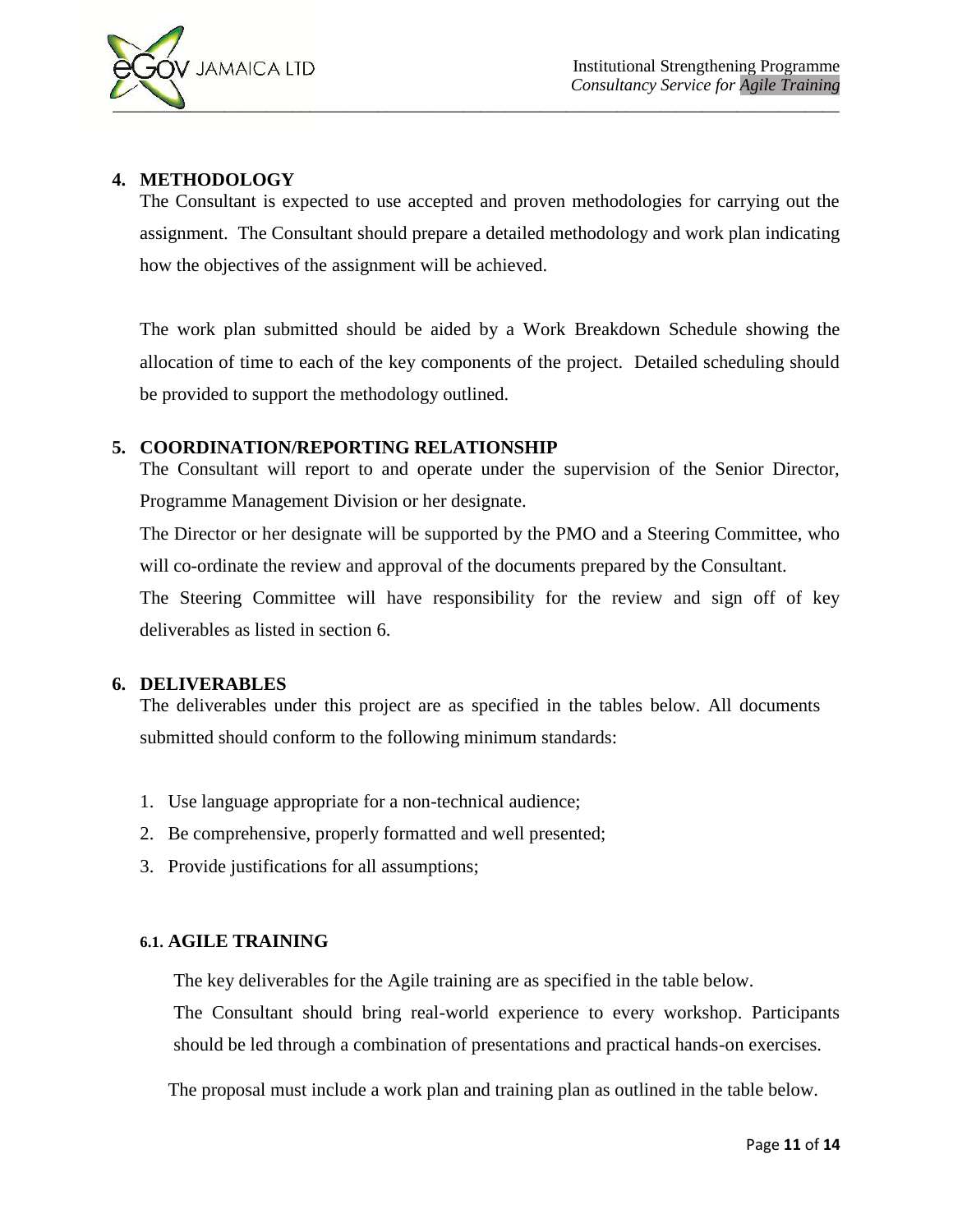# **4. METHODOLOGY**

The Consultant is expected to use accepted and proven methodologies for carrying out the assignment. The Consultant should prepare a detailed methodology and work plan indicating how the objectives of the assignment will be achieved.

The work plan submitted should be aided by a Work Breakdown Schedule showing the allocation of time to each of the key components of the project. Detailed scheduling should be provided to support the methodology outlined.

# **5. COORDINATION/REPORTING RELATIONSHIP**

The Consultant will report to and operate under the supervision of the Senior Director, Programme Management Division or her designate.

The Director or her designate will be supported by the PMO and a Steering Committee, who will co-ordinate the review and approval of the documents prepared by the Consultant.

The Steering Committee will have responsibility for the review and sign off of key deliverables as listed in section 6.

# **6. DELIVERABLES**

The deliverables under this project are as specified in the tables below. All documents submitted should conform to the following minimum standards:

- 1. Use language appropriate for a non-technical audience;
- 2. Be comprehensive, properly formatted and well presented;
- 3. Provide justifications for all assumptions;

# **6.1. AGILE TRAINING**

The key deliverables for the Agile training are as specified in the table below.

The Consultant should bring real-world experience to every workshop. Participants should be led through a combination of presentations and practical hands-on exercises.

The proposal must include a work plan and training plan as outlined in the table below.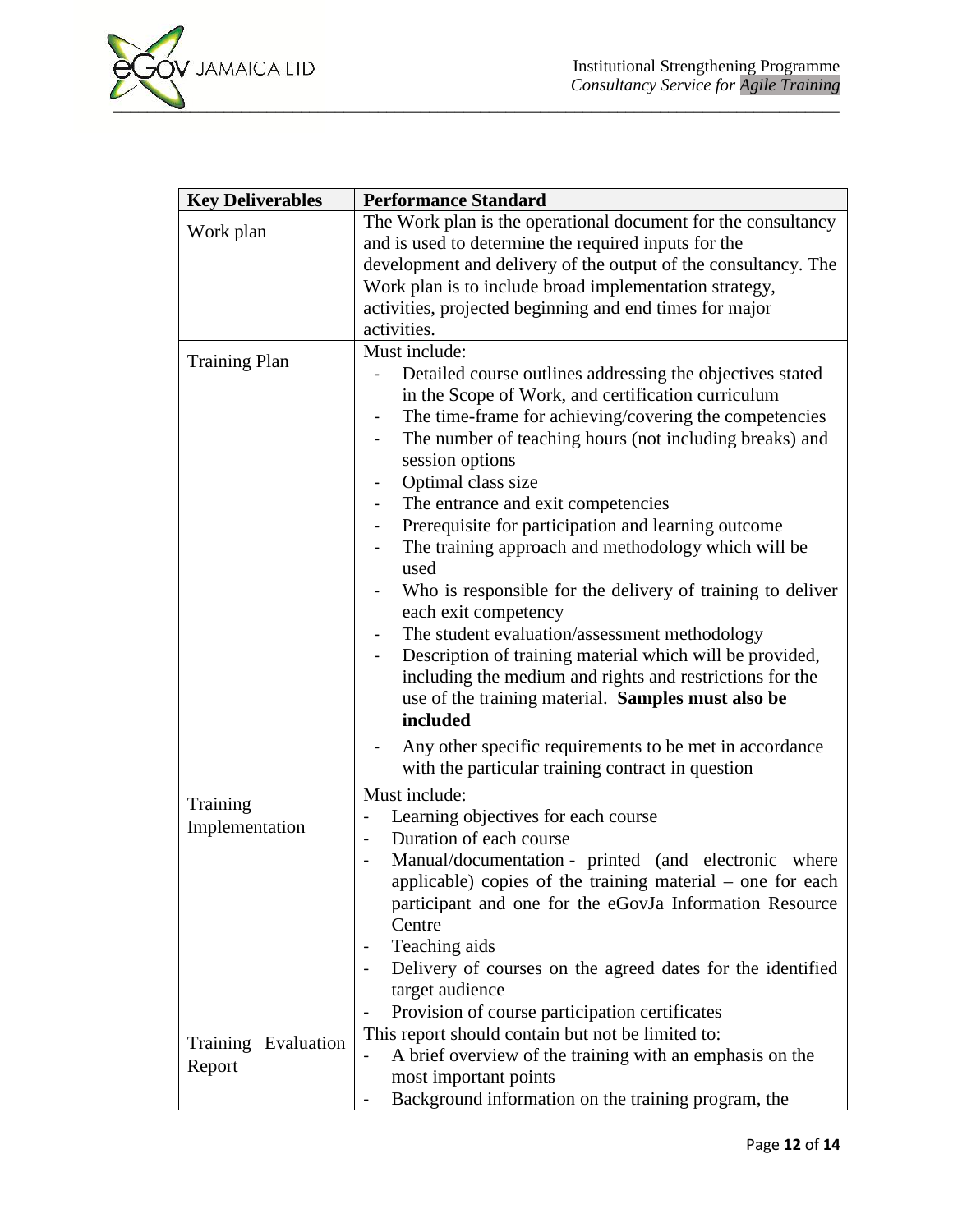

| <b>Key Deliverables</b>       | <b>Performance Standard</b>                                                                                                                                                                                                                                                                                                                                                                                                                                                                                                                                                                                                                                                                                                                                                                                                                                                                              |
|-------------------------------|----------------------------------------------------------------------------------------------------------------------------------------------------------------------------------------------------------------------------------------------------------------------------------------------------------------------------------------------------------------------------------------------------------------------------------------------------------------------------------------------------------------------------------------------------------------------------------------------------------------------------------------------------------------------------------------------------------------------------------------------------------------------------------------------------------------------------------------------------------------------------------------------------------|
| Work plan                     | The Work plan is the operational document for the consultancy<br>and is used to determine the required inputs for the<br>development and delivery of the output of the consultancy. The<br>Work plan is to include broad implementation strategy,<br>activities, projected beginning and end times for major<br>activities.                                                                                                                                                                                                                                                                                                                                                                                                                                                                                                                                                                              |
| <b>Training Plan</b>          | Must include:<br>Detailed course outlines addressing the objectives stated<br>in the Scope of Work, and certification curriculum<br>The time-frame for achieving/covering the competencies<br>The number of teaching hours (not including breaks) and<br>$\blacksquare$<br>session options<br>Optimal class size<br>The entrance and exit competencies<br>Prerequisite for participation and learning outcome<br>The training approach and methodology which will be<br>used<br>Who is responsible for the delivery of training to deliver<br>each exit competency<br>The student evaluation/assessment methodology<br>Description of training material which will be provided,<br>including the medium and rights and restrictions for the<br>use of the training material. Samples must also be<br>included<br>Any other specific requirements to be met in accordance<br>$\qquad \qquad \blacksquare$ |
| Training<br>Implementation    | with the particular training contract in question<br>Must include:<br>Learning objectives for each course<br>$\overline{\phantom{0}}$<br>Duration of each course<br>$\blacksquare$<br>Manual/documentation - printed (and electronic where<br>$\blacksquare$<br>applicable) copies of the training material - one for each<br>participant and one for the eGovJa Information Resource<br>Centre<br>Teaching aids<br>Delivery of courses on the agreed dates for the identified<br>$\blacksquare$<br>target audience<br>Provision of course participation certificates                                                                                                                                                                                                                                                                                                                                    |
| Training Evaluation<br>Report | This report should contain but not be limited to:<br>A brief overview of the training with an emphasis on the<br>$\blacksquare$<br>most important points<br>Background information on the training program, the                                                                                                                                                                                                                                                                                                                                                                                                                                                                                                                                                                                                                                                                                          |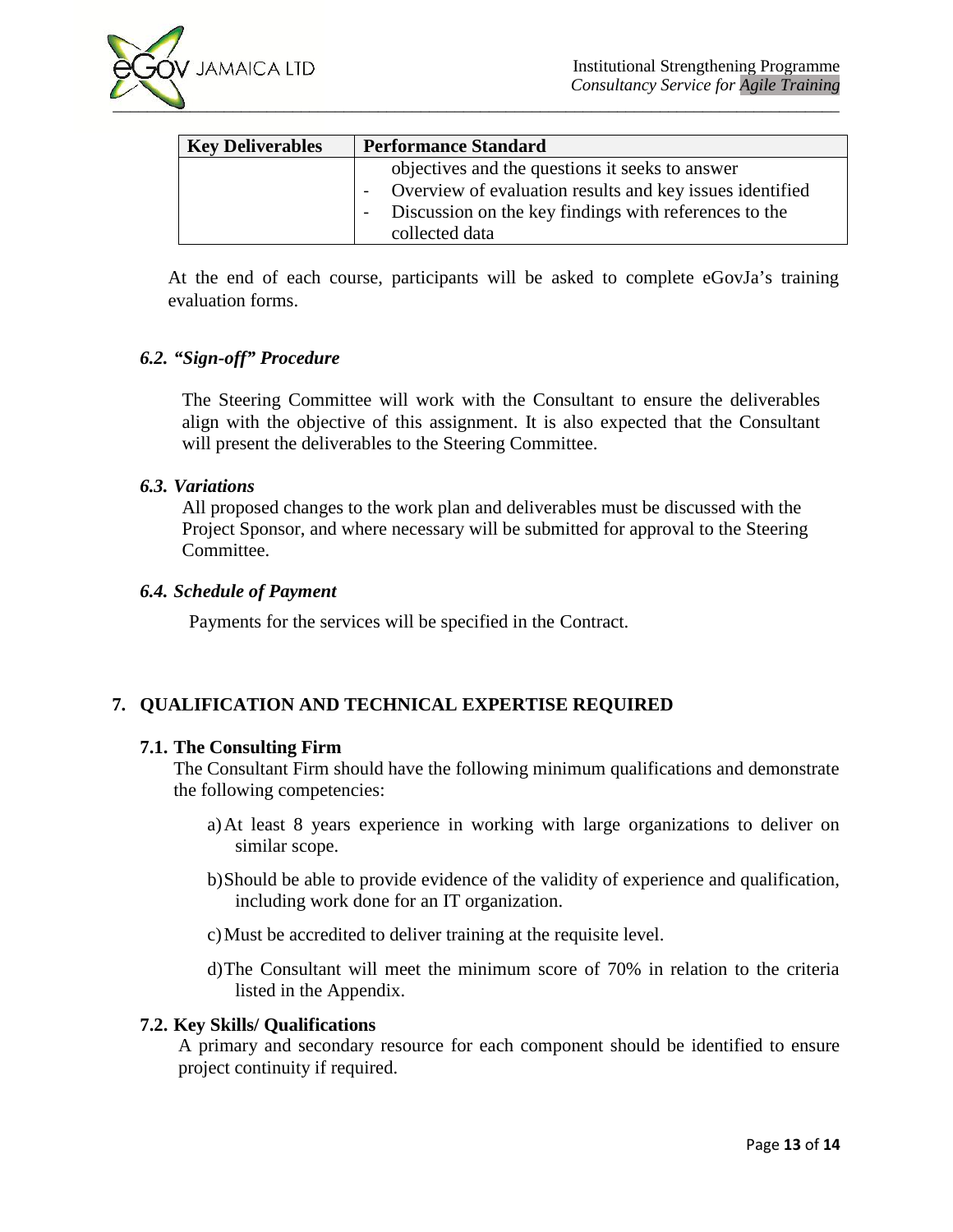

| <b>Key Deliverables</b> | <b>Performance Standard</b>                              |
|-------------------------|----------------------------------------------------------|
|                         | objectives and the questions it seeks to answer          |
|                         | Overview of evaluation results and key issues identified |
|                         | Discussion on the key findings with references to the    |
|                         | collected data                                           |

At the end of each course, participants will be asked to complete eGovJa's training evaluation forms.

#### *6.2. "Sign-off" Procedure*

The Steering Committee will work with the Consultant to ensure the deliverables align with the objective of this assignment. It is also expected that the Consultant will present the deliverables to the Steering Committee.

#### *6.3. Variations*

All proposed changes to the work plan and deliverables must be discussed with the Project Sponsor, and where necessary will be submitted for approval to the Steering Committee.

#### *6.4. Schedule of Payment*

Payments for the services will be specified in the Contract.

# **7. QUALIFICATION AND TECHNICAL EXPERTISE REQUIRED**

#### **7.1. The Consulting Firm**

The Consultant Firm should have the following minimum qualifications and demonstrate the following competencies:

- a)At least 8 years experience in working with large organizations to deliver on similar scope.
- b)Should be able to provide evidence of the validity of experience and qualification, including work done for an IT organization.
- c)Must be accredited to deliver training at the requisite level.
- d)The Consultant will meet the minimum score of 70% in relation to the criteria listed in the Appendix.

#### **7.2. Key Skills/ Qualifications**

A primary and secondary resource for each component should be identified to ensure project continuity if required.